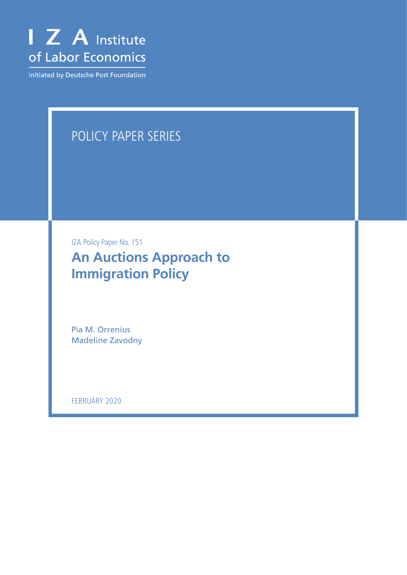

Initiated by Deutsche Post Foundation

# POLICY PAPER SERIES

IZA Policy Paper No. 151

**An Auctions Approach to Immigration Policy**

Pia M. Orrenius Madeline Zavodny

FEBRUARY 2020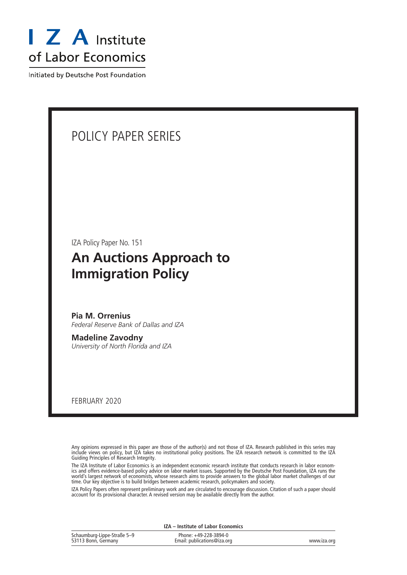

Initiated by Deutsche Post Foundation

### POLICY PAPER SERIES

IZA Policy Paper No. 151

### **An Auctions Approach to Immigration Policy**

**Pia M. Orrenius** *Federal Reserve Bank of Dallas and IZA*

**Madeline Zavodny** *University of North Florida and IZA*

FEBRUARY 2020

Any opinions expressed in this paper are those of the author(s) and not those of IZA. Research published in this series may include views on policy, but IZA takes no institutional policy positions. The IZA research network is committed to the IZA Guiding Principles of Research Integrity.

The IZA Institute of Labor Economics is an independent economic research institute that conducts research in labor economics and offers evidence-based policy advice on labor market issues. Supported by the Deutsche Post Foundation, IZA runs the world's largest network of economists, whose research aims to provide answers to the global labor market challenges of our time. Our key objective is to build bridges between academic research, policymakers and society.

IZA Policy Papers often represent preliminary work and are circulated to encourage discussion. Citation of such a paper should account for its provisional character. A revised version may be available directly from the author.

| IZA - Institute of Labor Economics                 |                                                      |             |
|----------------------------------------------------|------------------------------------------------------|-------------|
| Schaumburg-Lippe-Straße 5–9<br>53113 Bonn, Germany | Phone: +49-228-3894-0<br>Email: publications@iza.org | www.iza.org |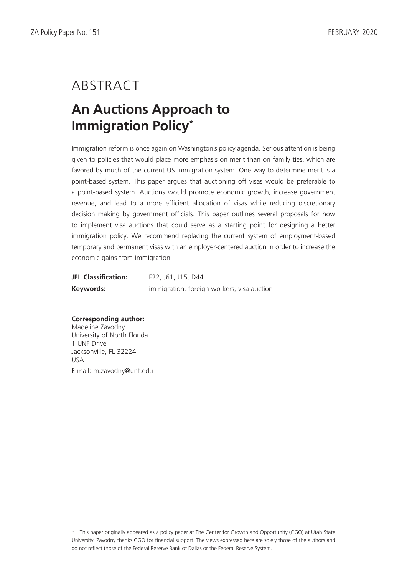# ABSTRACT

# **An Auctions Approach to Immigration Policy\***

Immigration reform is once again on Washington's policy agenda. Serious attention is being given to policies that would place more emphasis on merit than on family ties, which are favored by much of the current US immigration system. One way to determine merit is a point-based system. This paper argues that auctioning off visas would be preferable to a point-based system. Auctions would promote economic growth, increase government revenue, and lead to a more efficient allocation of visas while reducing discretionary decision making by government officials. This paper outlines several proposals for how to implement visa auctions that could serve as a starting point for designing a better immigration policy. We recommend replacing the current system of employment-based temporary and permanent visas with an employer-centered auction in order to increase the economic gains from immigration.

| <b>JEL Classification:</b> | F22, J61, J15, D44                         |
|----------------------------|--------------------------------------------|
| Keywords:                  | immigration, foreign workers, visa auction |

### **Corresponding author:**

Madeline Zavodny University of North Florida 1 UNF Drive Jacksonville, FL 32224 USA E-mail: m.zavodny@unf.edu

<sup>\*</sup> This paper originally appeared as a policy paper at The Center for Growth and Opportunity (CGO) at Utah State University. Zavodny thanks CGO for financial support. The views expressed here are solely those of the authors and do not reflect those of the Federal Reserve Bank of Dallas or the Federal Reserve System.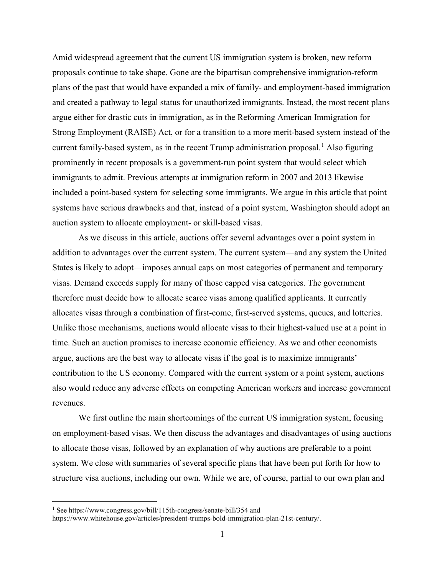Amid widespread agreement that the current US immigration system is broken, new reform proposals continue to take shape. Gone are the bipartisan comprehensive immigration-reform plans of the past that would have expanded a mix of family- and employment-based immigration and created a pathway to legal status for unauthorized immigrants. Instead, the most recent plans argue either for drastic cuts in immigration, as in the Reforming American Immigration for Strong Employment (RAISE) Act, or for a transition to a more merit-based system instead of the current family-based system, as in the recent Trump administration proposal. [1](#page-3-0) Also figuring prominently in recent proposals is a government-run point system that would select which immigrants to admit. Previous attempts at immigration reform in 2007 and 2013 likewise included a point-based system for selecting some immigrants. We argue in this article that point systems have serious drawbacks and that, instead of a point system, Washington should adopt an auction system to allocate employment- or skill-based visas.

As we discuss in this article, auctions offer several advantages over a point system in addition to advantages over the current system. The current system—and any system the United States is likely to adopt—imposes annual caps on most categories of permanent and temporary visas. Demand exceeds supply for many of those capped visa categories. The government therefore must decide how to allocate scarce visas among qualified applicants. It currently allocates visas through a combination of first-come, first-served systems, queues, and lotteries. Unlike those mechanisms, auctions would allocate visas to their highest-valued use at a point in time. Such an auction promises to increase economic efficiency. As we and other economists argue, auctions are the best way to allocate visas if the goal is to maximize immigrants' contribution to the US economy. Compared with the current system or a point system, auctions also would reduce any adverse effects on competing American workers and increase government revenues.

We first outline the main shortcomings of the current US immigration system, focusing on employment-based visas. We then discuss the advantages and disadvantages of using auctions to allocate those visas, followed by an explanation of why auctions are preferable to a point system. We close with summaries of several specific plans that have been put forth for how to structure visa auctions, including our own. While we are, of course, partial to our own plan and

<span id="page-3-0"></span><sup>&</sup>lt;sup>1</sup> See https://www.congress.gov/bill/115th-congress/senate-bill/354 and

https://www.whitehouse.gov/articles/president-trumps-bold-immigration-plan-21st-century/.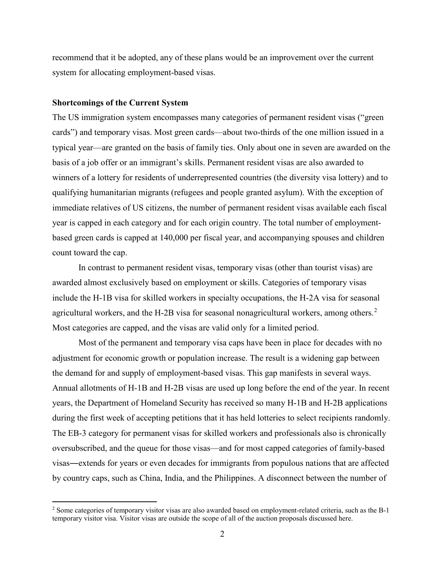recommend that it be adopted, any of these plans would be an improvement over the current system for allocating employment-based visas.

#### **Shortcomings of the Current System**

The US immigration system encompasses many categories of permanent resident visas ("green cards") and temporary visas. Most green cards—about two-thirds of the one million issued in a typical year—are granted on the basis of family ties. Only about one in seven are awarded on the basis of a job offer or an immigrant's skills. Permanent resident visas are also awarded to winners of a lottery for residents of underrepresented countries (the diversity visa lottery) and to qualifying humanitarian migrants (refugees and people granted asylum). With the exception of immediate relatives of US citizens, the number of permanent resident visas available each fiscal year is capped in each category and for each origin country. The total number of employmentbased green cards is capped at 140,000 per fiscal year, and accompanying spouses and children count toward the cap.

In contrast to permanent resident visas, temporary visas (other than tourist visas) are awarded almost exclusively based on employment or skills. Categories of temporary visas include the H-1B visa for skilled workers in specialty occupations, the H-2A visa for seasonal agricultural workers, and the H-[2](#page-4-0)B visa for seasonal nonagricultural workers, among others.<sup>2</sup> Most categories are capped, and the visas are valid only for a limited period.

Most of the permanent and temporary visa caps have been in place for decades with no adjustment for economic growth or population increase. The result is a widening gap between the demand for and supply of employment-based visas. This gap manifests in several ways. Annual allotments of H-1B and H-2B visas are used up long before the end of the year. In recent years, the Department of Homeland Security has received so many H-1B and H-2B applications during the first week of accepting petitions that it has held lotteries to select recipients randomly. The EB-3 category for permanent visas for skilled workers and professionals also is chronically oversubscribed, and the queue for those visas—and for most capped categories of family-based visas―extends for years or even decades for immigrants from populous nations that are affected by country caps, such as China, India, and the Philippines. A disconnect between the number of

<span id="page-4-0"></span> $2$  Some categories of temporary visitor visas are also awarded based on employment-related criteria, such as the B-1 temporary visitor visa. Visitor visas are outside the scope of all of the auction proposals discussed here.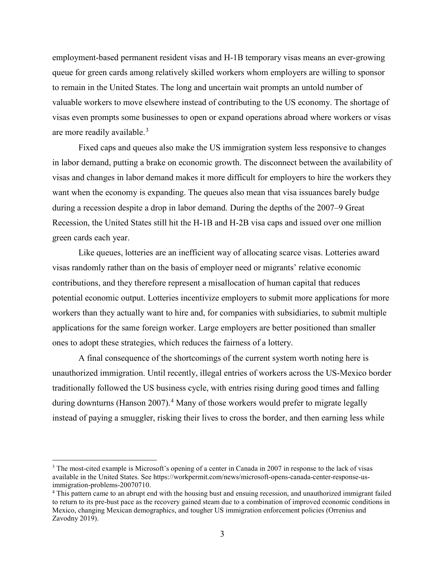employment-based permanent resident visas and H-1B temporary visas means an ever-growing queue for green cards among relatively skilled workers whom employers are willing to sponsor to remain in the United States. The long and uncertain wait prompts an untold number of valuable workers to move elsewhere instead of contributing to the US economy. The shortage of visas even prompts some businesses to open or expand operations abroad where workers or visas are more readily available.<sup>[3](#page-5-0)</sup>

Fixed caps and queues also make the US immigration system less responsive to changes in labor demand, putting a brake on economic growth. The disconnect between the availability of visas and changes in labor demand makes it more difficult for employers to hire the workers they want when the economy is expanding. The queues also mean that visa issuances barely budge during a recession despite a drop in labor demand. During the depths of the 2007–9 Great Recession, the United States still hit the H-1B and H-2B visa caps and issued over one million green cards each year.

Like queues, lotteries are an inefficient way of allocating scarce visas. Lotteries award visas randomly rather than on the basis of employer need or migrants' relative economic contributions, and they therefore represent a misallocation of human capital that reduces potential economic output. Lotteries incentivize employers to submit more applications for more workers than they actually want to hire and, for companies with subsidiaries, to submit multiple applications for the same foreign worker. Large employers are better positioned than smaller ones to adopt these strategies, which reduces the fairness of a lottery.

A final consequence of the shortcomings of the current system worth noting here is unauthorized immigration. Until recently, illegal entries of workers across the US-Mexico border traditionally followed the US business cycle, with entries rising during good times and falling during downturns (Hanson 2007).<sup>[4](#page-5-1)</sup> Many of those workers would prefer to migrate legally instead of paying a smuggler, risking their lives to cross the border, and then earning less while

<span id="page-5-0"></span><sup>&</sup>lt;sup>3</sup> The most-cited example is Microsoft's opening of a center in Canada in 2007 in response to the lack of visas available in the United States. See https://workpermit.com/news/microsoft-opens-canada-center-response-usimmigration-problems-20070710.

<span id="page-5-1"></span><sup>4</sup> This pattern came to an abrupt end with the housing bust and ensuing recession, and unauthorized immigrant failed to return to its pre-bust pace as the recovery gained steam due to a combination of improved economic conditions in Mexico, changing Mexican demographics, and tougher US immigration enforcement policies (Orrenius and Zavodny 2019).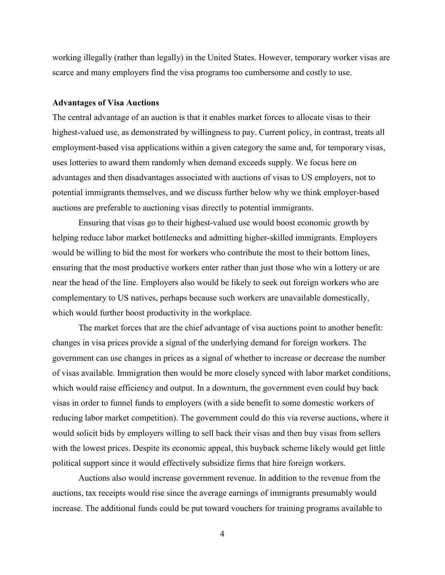working illegally (rather than legally) in the United States. However, temporary worker visas are scarce and many employers find the visa programs too cumbersome and costly to use.

#### **Advantages of Visa Auctions**

The central advantage of an auction is that it enables market forces to allocate visas to their highest-valued use, as demonstrated by willingness to pay. Current policy, in contrast, treats all employment-based visa applications within a given category the same and, for temporary visas, uses lotteries to award them randomly when demand exceeds supply. We focus here on advantages and then disadvantages associated with auctions of visas to US employers, not to potential immigrants themselves, and we discuss further below why we think employer-based auctions are preferable to auctioning visas directly to potential immigrants.

Ensuring that visas go to their highest-valued use would boost economic growth by helping reduce labor market bottlenecks and admitting higher-skilled immigrants. Employers would be willing to bid the most for workers who contribute the most to their bottom lines, ensuring that the most productive workers enter rather than just those who win a lottery or are near the head of the line. Employers also would be likely to seek out foreign workers who are complementary to US natives, perhaps because such workers are unavailable domestically, which would further boost productivity in the workplace.

The market forces that are the chief advantage of visa auctions point to another benefit: changes in visa prices provide a signal of the underlying demand for foreign workers. The government can use changes in prices as a signal of whether to increase or decrease the number of visas available. Immigration then would be more closely synced with labor market conditions, which would raise efficiency and output. In a downturn, the government even could buy back visas in order to funnel funds to employers (with a side benefit to some domestic workers of reducing labor market competition). The government could do this via reverse auctions, where it would solicit bids by employers willing to sell back their visas and then buy visas from sellers with the lowest prices. Despite its economic appeal, this buyback scheme likely would get little political support since it would effectively subsidize firms that hire foreign workers.

Auctions also would increase government revenue. In addition to the revenue from the auctions, tax receipts would rise since the average earnings of immigrants presumably would increase. The additional funds could be put toward vouchers for training programs available to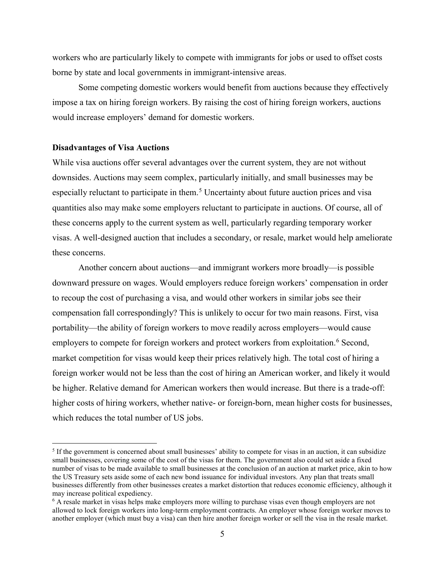workers who are particularly likely to compete with immigrants for jobs or used to offset costs borne by state and local governments in immigrant-intensive areas.

Some competing domestic workers would benefit from auctions because they effectively impose a tax on hiring foreign workers. By raising the cost of hiring foreign workers, auctions would increase employers' demand for domestic workers.

#### **Disadvantages of Visa Auctions**

While visa auctions offer several advantages over the current system, they are not without downsides. Auctions may seem complex, particularly initially, and small businesses may be especially reluctant to participate in them.<sup>[5](#page-7-0)</sup> Uncertainty about future auction prices and visa quantities also may make some employers reluctant to participate in auctions. Of course, all of these concerns apply to the current system as well, particularly regarding temporary worker visas. A well-designed auction that includes a secondary, or resale, market would help ameliorate these concerns.

Another concern about auctions—and immigrant workers more broadly—is possible downward pressure on wages. Would employers reduce foreign workers' compensation in order to recoup the cost of purchasing a visa, and would other workers in similar jobs see their compensation fall correspondingly? This is unlikely to occur for two main reasons. First, visa portability—the ability of foreign workers to move readily across employers—would cause employers to compete for foreign workers and protect workers from exploitation.<sup>[6](#page-7-1)</sup> Second, market competition for visas would keep their prices relatively high. The total cost of hiring a foreign worker would not be less than the cost of hiring an American worker, and likely it would be higher. Relative demand for American workers then would increase. But there is a trade-off: higher costs of hiring workers, whether native- or foreign-born, mean higher costs for businesses, which reduces the total number of US jobs.

<span id="page-7-0"></span> <sup>5</sup> If the government is concerned about small businesses' ability to compete for visas in an auction, it can subsidize small businesses, covering some of the cost of the visas for them. The government also could set aside a fixed number of visas to be made available to small businesses at the conclusion of an auction at market price, akin to how the US Treasury sets aside some of each new bond issuance for individual investors. Any plan that treats small businesses differently from other businesses creates a market distortion that reduces economic efficiency, although it may increase political expediency.

<span id="page-7-1"></span><sup>&</sup>lt;sup>6</sup> A resale market in visas helps make employers more willing to purchase visas even though employers are not allowed to lock foreign workers into long-term employment contracts. An employer whose foreign worker moves to another employer (which must buy a visa) can then hire another foreign worker or sell the visa in the resale market.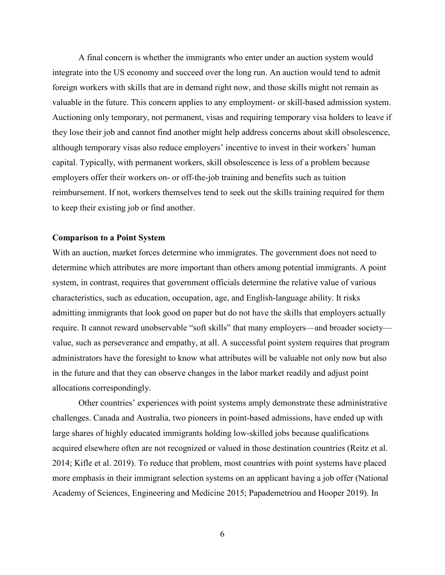A final concern is whether the immigrants who enter under an auction system would integrate into the US economy and succeed over the long run. An auction would tend to admit foreign workers with skills that are in demand right now, and those skills might not remain as valuable in the future. This concern applies to any employment- or skill-based admission system. Auctioning only temporary, not permanent, visas and requiring temporary visa holders to leave if they lose their job and cannot find another might help address concerns about skill obsolescence, although temporary visas also reduce employers' incentive to invest in their workers' human capital. Typically, with permanent workers, skill obsolescence is less of a problem because employers offer their workers on- or off-the-job training and benefits such as tuition reimbursement. If not, workers themselves tend to seek out the skills training required for them to keep their existing job or find another.

#### **Comparison to a Point System**

With an auction, market forces determine who immigrates. The government does not need to determine which attributes are more important than others among potential immigrants. A point system, in contrast, requires that government officials determine the relative value of various characteristics, such as education, occupation, age, and English-language ability. It risks admitting immigrants that look good on paper but do not have the skills that employers actually require. It cannot reward unobservable "soft skills" that many employers—and broader society value, such as perseverance and empathy, at all. A successful point system requires that program administrators have the foresight to know what attributes will be valuable not only now but also in the future and that they can observe changes in the labor market readily and adjust point allocations correspondingly.

Other countries' experiences with point systems amply demonstrate these administrative challenges. Canada and Australia, two pioneers in point-based admissions, have ended up with large shares of highly educated immigrants holding low-skilled jobs because qualifications acquired elsewhere often are not recognized or valued in those destination countries (Reitz et al. 2014; Kifle et al. 2019). To reduce that problem, most countries with point systems have placed more emphasis in their immigrant selection systems on an applicant having a job offer (National Academy of Sciences, Engineering and Medicine 2015; Papademetriou and Hooper 2019). In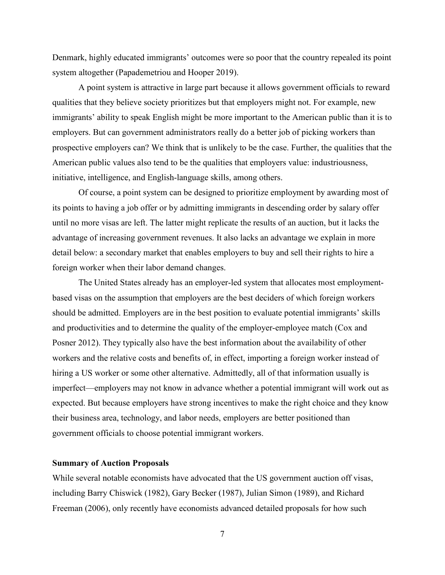Denmark, highly educated immigrants' outcomes were so poor that the country repealed its point system altogether (Papademetriou and Hooper 2019).

A point system is attractive in large part because it allows government officials to reward qualities that they believe society prioritizes but that employers might not. For example, new immigrants' ability to speak English might be more important to the American public than it is to employers. But can government administrators really do a better job of picking workers than prospective employers can? We think that is unlikely to be the case. Further, the qualities that the American public values also tend to be the qualities that employers value: industriousness, initiative, intelligence, and English-language skills, among others.

Of course, a point system can be designed to prioritize employment by awarding most of its points to having a job offer or by admitting immigrants in descending order by salary offer until no more visas are left. The latter might replicate the results of an auction, but it lacks the advantage of increasing government revenues. It also lacks an advantage we explain in more detail below: a secondary market that enables employers to buy and sell their rights to hire a foreign worker when their labor demand changes.

The United States already has an employer-led system that allocates most employmentbased visas on the assumption that employers are the best deciders of which foreign workers should be admitted. Employers are in the best position to evaluate potential immigrants' skills and productivities and to determine the quality of the employer-employee match (Cox and Posner 2012). They typically also have the best information about the availability of other workers and the relative costs and benefits of, in effect, importing a foreign worker instead of hiring a US worker or some other alternative. Admittedly, all of that information usually is imperfect—employers may not know in advance whether a potential immigrant will work out as expected. But because employers have strong incentives to make the right choice and they know their business area, technology, and labor needs, employers are better positioned than government officials to choose potential immigrant workers.

#### **Summary of Auction Proposals**

While several notable economists have advocated that the US government auction off visas, including Barry Chiswick (1982), Gary Becker (1987), Julian Simon (1989), and Richard Freeman (2006), only recently have economists advanced detailed proposals for how such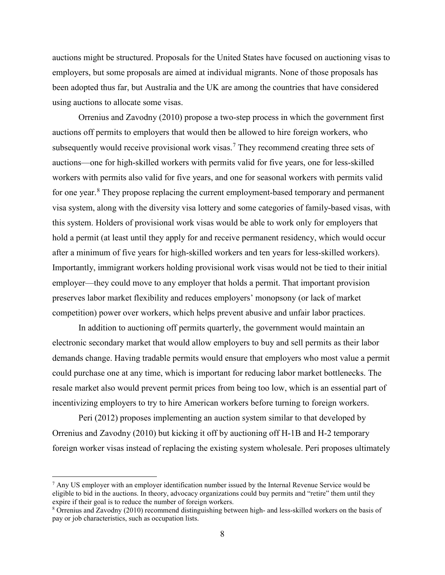auctions might be structured. Proposals for the United States have focused on auctioning visas to employers, but some proposals are aimed at individual migrants. None of those proposals has been adopted thus far, but Australia and the UK are among the countries that have considered using auctions to allocate some visas.

Orrenius and Zavodny (2010) propose a two-step process in which the government first auctions off permits to employers that would then be allowed to hire foreign workers, who subsequently would receive provisional work visas.<sup>[7](#page-10-0)</sup> They recommend creating three sets of auctions—one for high-skilled workers with permits valid for five years, one for less-skilled workers with permits also valid for five years, and one for seasonal workers with permits valid for one year.<sup>[8](#page-10-1)</sup> They propose replacing the current employment-based temporary and permanent visa system, along with the diversity visa lottery and some categories of family-based visas, with this system. Holders of provisional work visas would be able to work only for employers that hold a permit (at least until they apply for and receive permanent residency, which would occur after a minimum of five years for high-skilled workers and ten years for less-skilled workers). Importantly, immigrant workers holding provisional work visas would not be tied to their initial employer—they could move to any employer that holds a permit. That important provision preserves labor market flexibility and reduces employers' monopsony (or lack of market competition) power over workers, which helps prevent abusive and unfair labor practices.

In addition to auctioning off permits quarterly, the government would maintain an electronic secondary market that would allow employers to buy and sell permits as their labor demands change. Having tradable permits would ensure that employers who most value a permit could purchase one at any time, which is important for reducing labor market bottlenecks. The resale market also would prevent permit prices from being too low, which is an essential part of incentivizing employers to try to hire American workers before turning to foreign workers.

Peri (2012) proposes implementing an auction system similar to that developed by Orrenius and Zavodny (2010) but kicking it off by auctioning off H-1B and H-2 temporary foreign worker visas instead of replacing the existing system wholesale. Peri proposes ultimately

<span id="page-10-0"></span> $<sup>7</sup>$  Any US employer with an employer identification number issued by the Internal Revenue Service would be</sup> eligible to bid in the auctions. In theory, advocacy organizations could buy permits and "retire" them until they expire if their goal is to reduce the number of foreign workers.

<span id="page-10-1"></span><sup>8</sup> Orrenius and Zavodny (2010) recommend distinguishing between high- and less-skilled workers on the basis of pay or job characteristics, such as occupation lists.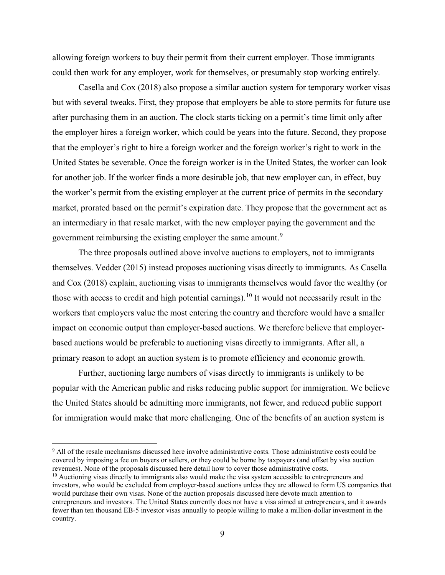allowing foreign workers to buy their permit from their current employer. Those immigrants could then work for any employer, work for themselves, or presumably stop working entirely.

Casella and Cox (2018) also propose a similar auction system for temporary worker visas but with several tweaks. First, they propose that employers be able to store permits for future use after purchasing them in an auction. The clock starts ticking on a permit's time limit only after the employer hires a foreign worker, which could be years into the future. Second, they propose that the employer's right to hire a foreign worker and the foreign worker's right to work in the United States be severable. Once the foreign worker is in the United States, the worker can look for another job. If the worker finds a more desirable job, that new employer can, in effect, buy the worker's permit from the existing employer at the current price of permits in the secondary market, prorated based on the permit's expiration date. They propose that the government act as an intermediary in that resale market, with the new employer paying the government and the government reimbursing the existing employer the same amount.<sup>[9](#page-11-0)</sup>

The three proposals outlined above involve auctions to employers, not to immigrants themselves. Vedder (2015) instead proposes auctioning visas directly to immigrants. As Casella and Cox (2018) explain, auctioning visas to immigrants themselves would favor the wealthy (or those with access to credit and high potential earnings). <sup>[10](#page-11-1)</sup> It would not necessarily result in the workers that employers value the most entering the country and therefore would have a smaller impact on economic output than employer-based auctions. We therefore believe that employerbased auctions would be preferable to auctioning visas directly to immigrants. After all, a primary reason to adopt an auction system is to promote efficiency and economic growth.

Further, auctioning large numbers of visas directly to immigrants is unlikely to be popular with the American public and risks reducing public support for immigration. We believe the United States should be admitting more immigrants, not fewer, and reduced public support for immigration would make that more challenging. One of the benefits of an auction system is

<span id="page-11-0"></span> 9 All of the resale mechanisms discussed here involve administrative costs. Those administrative costs could be covered by imposing a fee on buyers or sellers, or they could be borne by taxpayers (and offset by visa auction revenues). None of the proposals discussed here detail how to cover those administrative costs.

<span id="page-11-1"></span> $10$  Auctioning visas directly to immigrants also would make the visa system accessible to entrepreneurs and investors, who would be excluded from employer-based auctions unless they are allowed to form US companies that would purchase their own visas. None of the auction proposals discussed here devote much attention to entrepreneurs and investors. The United States currently does not have a visa aimed at entrepreneurs, and it awards fewer than ten thousand EB-5 investor visas annually to people willing to make a million-dollar investment in the country.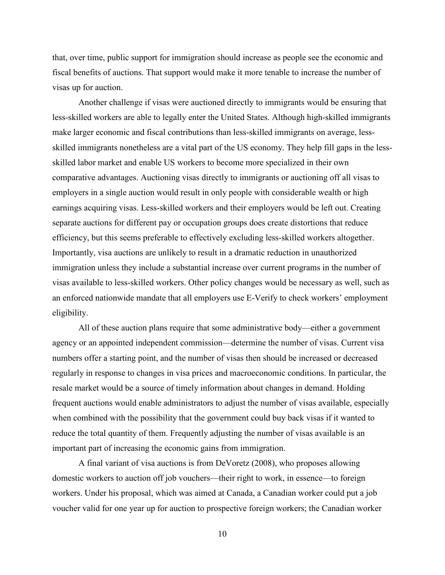that, over time, public support for immigration should increase as people see the economic and fiscal benefits of auctions. That support would make it more tenable to increase the number of visas up for auction.

Another challenge if visas were auctioned directly to immigrants would be ensuring that less-skilled workers are able to legally enter the United States. Although high-skilled immigrants make larger economic and fiscal contributions than less-skilled immigrants on average, lessskilled immigrants nonetheless are a vital part of the US economy. They help fill gaps in the lessskilled labor market and enable US workers to become more specialized in their own comparative advantages. Auctioning visas directly to immigrants or auctioning off all visas to employers in a single auction would result in only people with considerable wealth or high earnings acquiring visas. Less-skilled workers and their employers would be left out. Creating separate auctions for different pay or occupation groups does create distortions that reduce efficiency, but this seems preferable to effectively excluding less-skilled workers altogether. Importantly, visa auctions are unlikely to result in a dramatic reduction in unauthorized immigration unless they include a substantial increase over current programs in the number of visas available to less-skilled workers. Other policy changes would be necessary as well, such as an enforced nationwide mandate that all employers use E-Verify to check workers' employment eligibility.

All of these auction plans require that some administrative body—either a government agency or an appointed independent commission—determine the number of visas. Current visa numbers offer a starting point, and the number of visas then should be increased or decreased regularly in response to changes in visa prices and macroeconomic conditions. In particular, the resale market would be a source of timely information about changes in demand. Holding frequent auctions would enable administrators to adjust the number of visas available, especially when combined with the possibility that the government could buy back visas if it wanted to reduce the total quantity of them. Frequently adjusting the number of visas available is an important part of increasing the economic gains from immigration.

A final variant of visa auctions is from DeVoretz (2008), who proposes allowing domestic workers to auction off job vouchers—their right to work, in essence—to foreign workers. Under his proposal, which was aimed at Canada, a Canadian worker could put a job voucher valid for one year up for auction to prospective foreign workers; the Canadian worker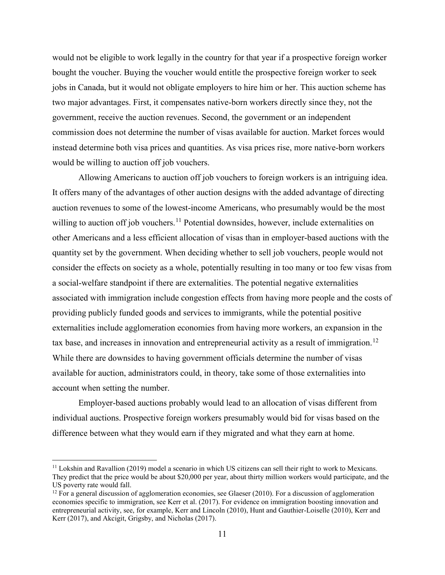would not be eligible to work legally in the country for that year if a prospective foreign worker bought the voucher. Buying the voucher would entitle the prospective foreign worker to seek jobs in Canada, but it would not obligate employers to hire him or her. This auction scheme has two major advantages. First, it compensates native-born workers directly since they, not the government, receive the auction revenues. Second, the government or an independent commission does not determine the number of visas available for auction. Market forces would instead determine both visa prices and quantities. As visa prices rise, more native-born workers would be willing to auction off job vouchers.

Allowing Americans to auction off job vouchers to foreign workers is an intriguing idea. It offers many of the advantages of other auction designs with the added advantage of directing auction revenues to some of the lowest-income Americans, who presumably would be the most willing to auction off job vouchers.<sup>[11](#page-13-0)</sup> Potential downsides, however, include externalities on other Americans and a less efficient allocation of visas than in employer-based auctions with the quantity set by the government. When deciding whether to sell job vouchers, people would not consider the effects on society as a whole, potentially resulting in too many or too few visas from a social-welfare standpoint if there are externalities. The potential negative externalities associated with immigration include congestion effects from having more people and the costs of providing publicly funded goods and services to immigrants, while the potential positive externalities include agglomeration economies from having more workers, an expansion in the tax base, and increases in innovation and entrepreneurial activity as a result of immigration.<sup>[12](#page-13-1)</sup> While there are downsides to having government officials determine the number of visas available for auction, administrators could, in theory, take some of those externalities into account when setting the number.

Employer-based auctions probably would lead to an allocation of visas different from individual auctions. Prospective foreign workers presumably would bid for visas based on the difference between what they would earn if they migrated and what they earn at home.

<span id="page-13-0"></span><sup>&</sup>lt;sup>11</sup> Lokshin and Ravallion (2019) model a scenario in which US citizens can sell their right to work to Mexicans. They predict that the price would be about \$20,000 per year, about thirty million workers would participate, and the

<span id="page-13-1"></span> $12$  For a general discussion of agglomeration economies, see Glaeser (2010). For a discussion of agglomeration economies specific to immigration, see Kerr et al. (2017). For evidence on immigration boosting innovation and entrepreneurial activity, see, for example, Kerr and Lincoln (2010), Hunt and Gauthier-Loiselle (2010), Kerr and Kerr (2017), and Akcigit, Grigsby, and Nicholas (2017).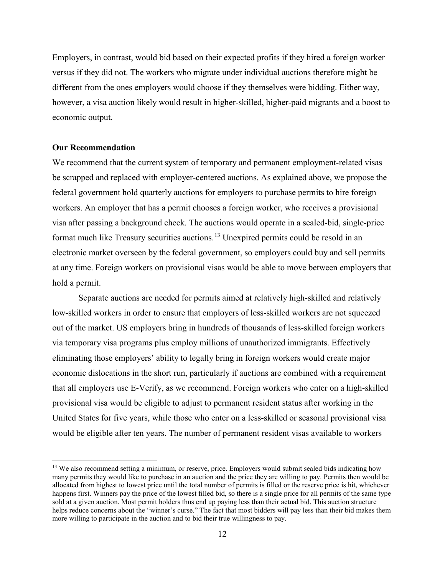Employers, in contrast, would bid based on their expected profits if they hired a foreign worker versus if they did not. The workers who migrate under individual auctions therefore might be different from the ones employers would choose if they themselves were bidding. Either way, however, a visa auction likely would result in higher-skilled, higher-paid migrants and a boost to economic output.

#### **Our Recommendation**

We recommend that the current system of temporary and permanent employment-related visas be scrapped and replaced with employer-centered auctions. As explained above, we propose the federal government hold quarterly auctions for employers to purchase permits to hire foreign workers. An employer that has a permit chooses a foreign worker, who receives a provisional visa after passing a background check. The auctions would operate in a sealed-bid, single-price format much like Treasury securities auctions.<sup>[13](#page-14-0)</sup> Unexpired permits could be resold in an electronic market overseen by the federal government, so employers could buy and sell permits at any time. Foreign workers on provisional visas would be able to move between employers that hold a permit.

Separate auctions are needed for permits aimed at relatively high-skilled and relatively low-skilled workers in order to ensure that employers of less-skilled workers are not squeezed out of the market. US employers bring in hundreds of thousands of less-skilled foreign workers via temporary visa programs plus employ millions of unauthorized immigrants. Effectively eliminating those employers' ability to legally bring in foreign workers would create major economic dislocations in the short run, particularly if auctions are combined with a requirement that all employers use E-Verify, as we recommend. Foreign workers who enter on a high-skilled provisional visa would be eligible to adjust to permanent resident status after working in the United States for five years, while those who enter on a less-skilled or seasonal provisional visa would be eligible after ten years. The number of permanent resident visas available to workers

<span id="page-14-0"></span><sup>&</sup>lt;sup>13</sup> We also recommend setting a minimum, or reserve, price. Employers would submit sealed bids indicating how many permits they would like to purchase in an auction and the price they are willing to pay. Permits then would be allocated from highest to lowest price until the total number of permits is filled or the reserve price is hit, whichever happens first. Winners pay the price of the lowest filled bid, so there is a single price for all permits of the same type sold at a given auction. Most permit holders thus end up paying less than their actual bid. This auction structure helps reduce concerns about the "winner's curse." The fact that most bidders will pay less than their bid makes them more willing to participate in the auction and to bid their true willingness to pay.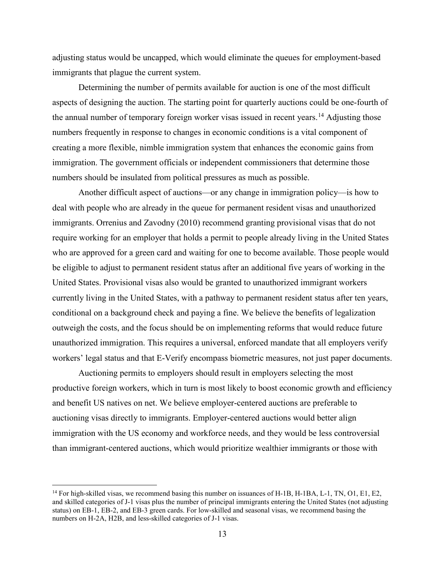adjusting status would be uncapped, which would eliminate the queues for employment-based immigrants that plague the current system.

Determining the number of permits available for auction is one of the most difficult aspects of designing the auction. The starting point for quarterly auctions could be one-fourth of the annual number of temporary foreign worker visas issued in recent years.<sup>[14](#page-15-0)</sup> Adjusting those numbers frequently in response to changes in economic conditions is a vital component of creating a more flexible, nimble immigration system that enhances the economic gains from immigration. The government officials or independent commissioners that determine those numbers should be insulated from political pressures as much as possible.

Another difficult aspect of auctions—or any change in immigration policy—is how to deal with people who are already in the queue for permanent resident visas and unauthorized immigrants. Orrenius and Zavodny (2010) recommend granting provisional visas that do not require working for an employer that holds a permit to people already living in the United States who are approved for a green card and waiting for one to become available. Those people would be eligible to adjust to permanent resident status after an additional five years of working in the United States. Provisional visas also would be granted to unauthorized immigrant workers currently living in the United States, with a pathway to permanent resident status after ten years, conditional on a background check and paying a fine. We believe the benefits of legalization outweigh the costs, and the focus should be on implementing reforms that would reduce future unauthorized immigration. This requires a universal, enforced mandate that all employers verify workers' legal status and that E-Verify encompass biometric measures, not just paper documents.

Auctioning permits to employers should result in employers selecting the most productive foreign workers, which in turn is most likely to boost economic growth and efficiency and benefit US natives on net. We believe employer-centered auctions are preferable to auctioning visas directly to immigrants. Employer-centered auctions would better align immigration with the US economy and workforce needs, and they would be less controversial than immigrant-centered auctions, which would prioritize wealthier immigrants or those with

<span id="page-15-0"></span><sup>&</sup>lt;sup>14</sup> For high-skilled visas, we recommend basing this number on issuances of H-1B, H-1BA, L-1, TN, O1, E1, E2, and skilled categories of J-1 visas plus the number of principal immigrants entering the United States (not adjusting status) on EB-1, EB-2, and EB-3 green cards. For low-skilled and seasonal visas, we recommend basing the numbers on H-2A, H2B, and less-skilled categories of J-1 visas.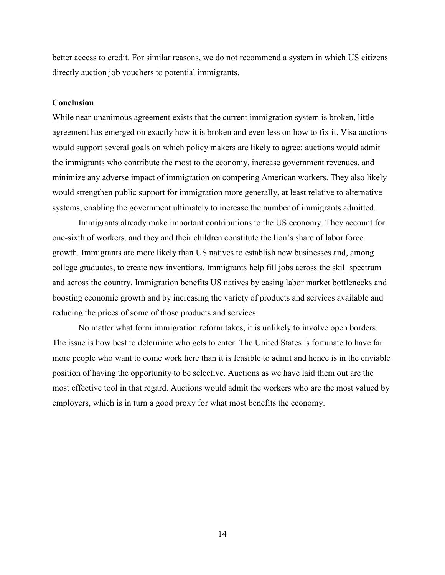better access to credit. For similar reasons, we do not recommend a system in which US citizens directly auction job vouchers to potential immigrants.

#### **Conclusion**

While near-unanimous agreement exists that the current immigration system is broken, little agreement has emerged on exactly how it is broken and even less on how to fix it. Visa auctions would support several goals on which policy makers are likely to agree: auctions would admit the immigrants who contribute the most to the economy, increase government revenues, and minimize any adverse impact of immigration on competing American workers. They also likely would strengthen public support for immigration more generally, at least relative to alternative systems, enabling the government ultimately to increase the number of immigrants admitted.

Immigrants already make important contributions to the US economy. They account for one-sixth of workers, and they and their children constitute the lion's share of labor force growth. Immigrants are more likely than US natives to establish new businesses and, among college graduates, to create new inventions. Immigrants help fill jobs across the skill spectrum and across the country. Immigration benefits US natives by easing labor market bottlenecks and boosting economic growth and by increasing the variety of products and services available and reducing the prices of some of those products and services.

No matter what form immigration reform takes, it is unlikely to involve open borders. The issue is how best to determine who gets to enter. The United States is fortunate to have far more people who want to come work here than it is feasible to admit and hence is in the enviable position of having the opportunity to be selective. Auctions as we have laid them out are the most effective tool in that regard. Auctions would admit the workers who are the most valued by employers, which is in turn a good proxy for what most benefits the economy.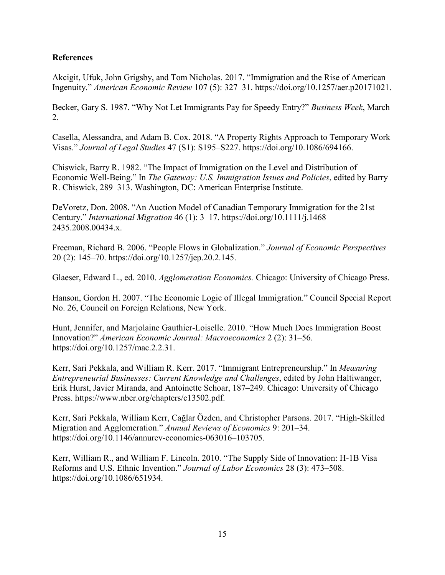### **References**

Akcigit, Ufuk, John Grigsby, and Tom Nicholas. 2017. "Immigration and the Rise of American Ingenuity." *American Economic Review* 107 (5): 327–31. https://doi.org/10.1257/aer.p20171021.

Becker, Gary S. 1987. "Why Not Let Immigrants Pay for Speedy Entry?" *Business Week*, March 2.

Casella, Alessandra, and Adam B. Cox. 2018. "A Property Rights Approach to Temporary Work Visas." *Journal of Legal Studies* 47 (S1): S195–S227. https://doi.org/10.1086/694166.

Chiswick, Barry R. 1982. "The Impact of Immigration on the Level and Distribution of Economic Well-Being." In *The Gateway: U.S. Immigration Issues and Policies*, edited by Barry R. Chiswick, 289–313. Washington, DC: American Enterprise Institute.

DeVoretz, Don. 2008. "An Auction Model of Canadian Temporary Immigration for the 21st Century." *International Migration* 46 (1): 3–17. https://doi.org/10.1111/j.1468– 2435.2008.00434.x.

Freeman, Richard B. 2006. "People Flows in Globalization." *Journal of Economic Perspectives* 20 (2): 145–70. https://doi.org/10.1257/jep.20.2.145.

Glaeser, Edward L., ed. 2010. *Agglomeration Economics.* Chicago: University of Chicago Press.

Hanson, Gordon H. 2007. "The Economic Logic of Illegal Immigration." Council Special Report No. 26, Council on Foreign Relations, New York.

Hunt, Jennifer, and Marjolaine Gauthier-Loiselle. 2010. "How Much Does Immigration Boost Innovation?" *American Economic Journal: Macroeconomics* 2 (2): 31–56. https://doi.org/10.1257/mac.2.2.31.

Kerr, Sari Pekkala, and William R. Kerr. 2017. "Immigrant Entrepreneurship." In *Measuring Entrepreneurial Businesses: Current Knowledge and Challenges*, edited by John Haltiwanger, Erik Hurst, Javier Miranda, and Antoinette Schoar, 187–249. Chicago: University of Chicago Press. https://www.nber.org/chapters/c13502.pdf.

Kerr, Sari Pekkala, William Kerr, Cağlar Özden, and Christopher Parsons. 2017. "High-Skilled Migration and Agglomeration." *Annual Reviews of Economics* 9: 201–34. https://doi.org/10.1146/annurev-economics-063016–103705.

Kerr, William R., and William F. Lincoln. 2010. "The Supply Side of Innovation: H-1B Visa Reforms and U.S. Ethnic Invention." *Journal of Labor Economics* 28 (3): 473–508. https://doi.org/10.1086/651934.